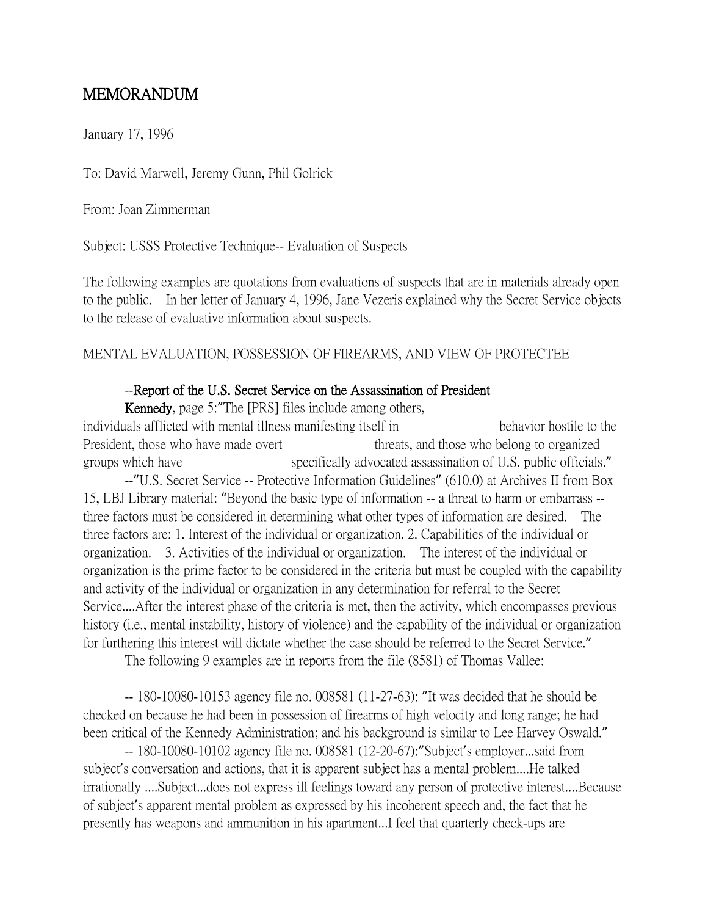## MEMORANDUM

January 17, 1996

To: David Marwell, Jeremy Gunn, Phil Golrick

From: Joan Zimmerman

Subject: USSS Protective Technique-- Evaluation of Suspects

The following examples are quotations from evaluations of suspects that are in materials already open to the public. In her letter of January 4, 1996, Jane Vezeris explained why the Secret Service objects to the release of evaluative information about suspects.

## MENTAL EVALUATION, POSSESSION OF FIREARMS, AND VIEW OF PROTECTEE

## --Report of the U.S. Secret Service on the Assassination of President

 Kennedy, page 5:"The [PRS] files include among others, individuals afflicted with mental illness manifesting itself in behavior hostile to the President, those who have made overt threats, and those who belong to organized groups which have specifically advocated assassination of U.S. public officials." --"U.S. Secret Service -- Protective Information Guidelines" (610.0) at Archives II from Box 15, LBJ Library material: "Beyond the basic type of information -- a threat to harm or embarrass - three factors must be considered in determining what other types of information are desired. The three factors are: 1. Interest of the individual or organization. 2. Capabilities of the individual or organization. 3. Activities of the individual or organization. The interest of the individual or organization is the prime factor to be considered in the criteria but must be coupled with the capability and activity of the individual or organization in any determination for referral to the Secret Service....After the interest phase of the criteria is met, then the activity, which encompasses previous history (i.e., mental instability, history of violence) and the capability of the individual or organization for furthering this interest will dictate whether the case should be referred to the Secret Service."

The following 9 examples are in reports from the file (8581) of Thomas Vallee:

-- 180-10080-10153 agency file no. 008581 (11-27-63): "It was decided that he should be checked on because he had been in possession of firearms of high velocity and long range; he had been critical of the Kennedy Administration; and his background is similar to Lee Harvey Oswald."

-- 180-10080-10102 agency file no. 008581 (12-20-67):"Subject's employer...said from subject's conversation and actions, that it is apparent subject has a mental problem....He talked irrationally ....Subject...does not express ill feelings toward any person of protective interest....Because of subject's apparent mental problem as expressed by his incoherent speech and, the fact that he presently has weapons and ammunition in his apartment...I feel that quarterly check-ups are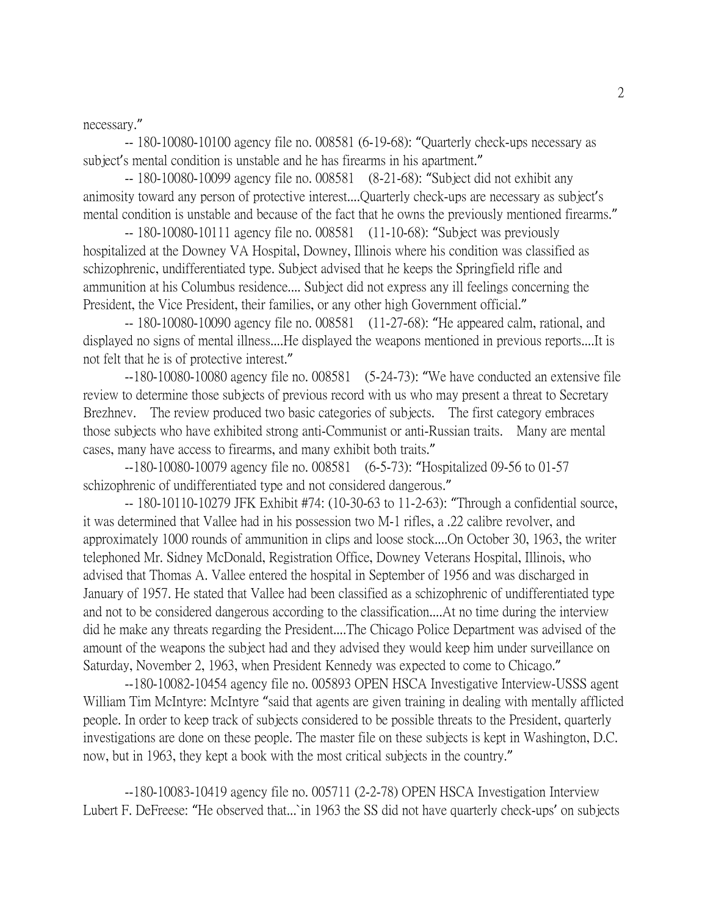necessary."

-- 180-10080-10100 agency file no. 008581 (6-19-68): "Quarterly check-ups necessary as subject's mental condition is unstable and he has firearms in his apartment."

-- 180-10080-10099 agency file no. 008581 (8-21-68): "Subject did not exhibit any animosity toward any person of protective interest....Quarterly check-ups are necessary as subject's mental condition is unstable and because of the fact that he owns the previously mentioned firearms."

-- 180-10080-10111 agency file no. 008581 (11-10-68): "Subject was previously hospitalized at the Downey VA Hospital, Downey, Illinois where his condition was classified as schizophrenic, undifferentiated type. Subject advised that he keeps the Springfield rifle and ammunition at his Columbus residence.... Subject did not express any ill feelings concerning the President, the Vice President, their families, or any other high Government official."

-- 180-10080-10090 agency file no. 008581 (11-27-68): "He appeared calm, rational, and displayed no signs of mental illness....He displayed the weapons mentioned in previous reports....It is not felt that he is of protective interest."

--180-10080-10080 agency file no. 008581 (5-24-73): "We have conducted an extensive file review to determine those subjects of previous record with us who may present a threat to Secretary Brezhnev. The review produced two basic categories of subjects. The first category embraces those subjects who have exhibited strong anti-Communist or anti-Russian traits. Many are mental cases, many have access to firearms, and many exhibit both traits."

--180-10080-10079 agency file no. 008581 (6-5-73): "Hospitalized 09-56 to 01-57 schizophrenic of undifferentiated type and not considered dangerous."

-- 180-10110-10279 JFK Exhibit #74: (10-30-63 to 11-2-63): "Through a confidential source, it was determined that Vallee had in his possession two M-1 rifles, a .22 calibre revolver, and approximately 1000 rounds of ammunition in clips and loose stock....On October 30, 1963, the writer telephoned Mr. Sidney McDonald, Registration Office, Downey Veterans Hospital, Illinois, who advised that Thomas A. Vallee entered the hospital in September of 1956 and was discharged in January of 1957. He stated that Vallee had been classified as a schizophrenic of undifferentiated type and not to be considered dangerous according to the classification....At no time during the interview did he make any threats regarding the President....The Chicago Police Department was advised of the amount of the weapons the subject had and they advised they would keep him under surveillance on Saturday, November 2, 1963, when President Kennedy was expected to come to Chicago."

--180-10082-10454 agency file no. 005893 OPEN HSCA Investigative Interview-USSS agent William Tim McIntyre: McIntyre "said that agents are given training in dealing with mentally afflicted people. In order to keep track of subjects considered to be possible threats to the President, quarterly investigations are done on these people. The master file on these subjects is kept in Washington, D.C. now, but in 1963, they kept a book with the most critical subjects in the country."

--180-10083-10419 agency file no. 005711 (2-2-78) OPEN HSCA Investigation Interview Lubert F. DeFreese: "He observed that...`in 1963 the SS did not have quarterly check-ups' on subjects